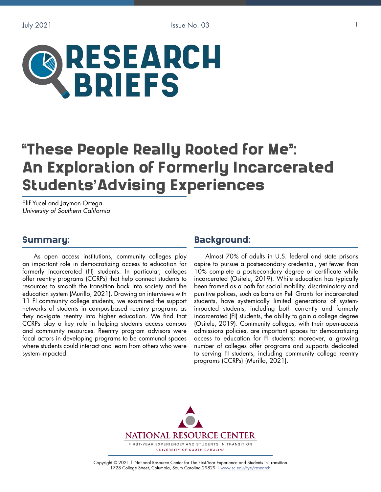

# These People Really Rooted for Me": "An Exploration of Formerly Incarcerated **Students'Advising Experiences** ,<br>,

Elif Yucel and Jaymon Ortega *University of Southern California*

#### Summary:

As open access institutions, community colleges play an important role in democratizing access to education for formerly incarcerated (FI) students. In particular, colleges offer reentry programs (CCRPs) that help connect students to resources to smooth the transition back into society and the education system (Murillo, 2021). Drawing on interviews with 11 FI community college students, we examined the support networks of students in campus-based reentry programs as they navigate reentry into higher education. We find that CCRPs play a key role in helping students access campus and community resources. Reentry program advisors were focal actors in developing programs to be communal spaces where students could interact and learn from others who were system-impacted.

#### Background:

Almost 70% of adults in U.S. federal and state prisons aspire to pursue a postsecondary credential, yet fewer than 10% complete a postsecondary degree or certificate while incarcerated (Ositelu, 2019). While education has typically been framed as a path for social mobility, discriminatory and punitive polices, such as bans on Pell Grants for incarcerated students, have systemically limited generations of systemimpacted students, including both currently and formerly incarcerated (FI) students, the ability to gain a college degree (Ositelu, 2019). Community colleges, with their open-access admissions policies, are important spaces for democratizing access to education for FI students; moreover, a growing number of colleges offer programs and supports dedicated to serving FI students, including community college reentry programs (CCRPs) (Murillo, 2021).



Copyright © 2021 | National Resource Center for The First-Year Experience and Students in Transition 1728 College Street, Columbia, South Carolina 29829 | [www.sc.edu/fye/research](https://sc.edu/about/offices_and_divisions/national_resource_center/research/index.php)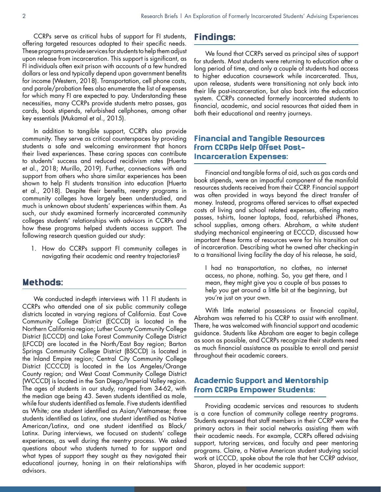CCRPs serve as critical hubs of support for FI students, offering targeted resources adapted to their specific needs. These programs provide services for students to help them adjust upon release from incarceration. This support is significant, as FI individuals often exit prison with accounts of a few hundred dollars or less and typically depend upon government benefits for income (Western, 2018). Transportation, cell phone costs, and parole/probation fees also enumerate the list of expenses for which many FI are expected to pay. Understanding these necessities, many CCRPs provide students metro passes, gas cards, book stipends, refurbished cellphones, among other key essentials (Mukamal et al., 2015).

In addition to tangible support, CCRPs also provide community. They serve as critical counterspaces by providing students a safe and welcoming environment that honors their lived experiences. These caring spaces can contribute to students' success and reduced recidivism rates (Huerta et al., 2018; Murillo, 2019). Further, connections with and support from others who share similar experiences has been shown to help FI students transition into education (Huerta et al., 2018). Despite their benefits, reentry programs in community colleges have largely been understudied, and much is unknown about students' experiences within them. As such, our study examined formerly incarcerated community colleges students' relationships with advisors in CCRPs and how these programs helped students access support. The following research question guided our study:

1. How do CCRPs support FI community colleges in navigating their academic and reentry trajectories?

#### Methods:

We conducted in-depth interviews with 11 FI students in CCRPs who attended one of six public community college districts located in varying regions of California. East Cove Community College District (ECCCD) is located in the Northern California region; Luther County Community College District (LCCCD) and Lake Forest Community College District (LFCCD) are located in the North/East Bay region; Barton Springs Community College District (BSCCD) is located in the Inland Empire region; Central City Community College District (CCCCD) is located in the Los Angeles/Orange County region; and West Coast Community College District (WCCCD) is located in the San Diego/Imperial Valley region. The ages of students in our study, ranged from 34-62, with the median age being 43. Seven students identified as male, while four students identified as female. Five students identified as White; one student identified as Asian/Vietnamese; three students identified as Latinx, one student identified as Native American/Latinx, and one student identified as Black/ Latinx. During interviews, we focused on students' college experiences, as well during the reentry process. We asked questions about who students turned to for support and what types of support they sought as they navigated their educational journey, honing in on their relationships with advisors.

## Findings:

We found that CCRPs served as principal sites of support for students. Most students were returning to education after a long period of time, and only a couple of students had access to higher education coursework while incarcerated. Thus, upon release, students were transitioning not only back into their life post-incarceration, but also back into the education system. CCRPs connected formerly incarcerated students to financial, academic, and social resources that aided them in both their educational and reentry journeys.

#### Financial and Tangible Resources from CCRPs Help Offset Post-Incarceration Expenses:

Financial and tangible forms of aid, such as gas cards and book stipends, were an impactful component of the manifold resources students received from their CCRP. Financial support was often provided in ways beyond the direct transfer of money. Instead, programs offered services to offset expected costs of living and school related expenses, offering metro passes, t-shirts, loaner laptops, food, refurbished iPhones, school supplies, among others. Abraham, a white student studying mechanical engineering at ECCCD, discussed how important these forms of resources were for his transition out of incarceration. Describing what he owned after checking-in to a transitional living facility the day of his release, he said,

I had no transportation, no clothes, no internet access, no phone, nothing. So, you get there, and I mean, they might give you a couple of bus passes to help you get around a little bit at the beginning, but you're just on your own.

With little material possessions or financial capital, Abraham was referred to his CCRP to assist with enrollment. There, he was welcomed with financial support and academic guidance. Students like Abraham are eager to begin college as soon as possible, and CCRPs recognize their students need as much financial assistance as possible to enroll and persist throughout their academic careers.

#### Academic Support and Mentorship from CCRPs Empower Students:

Providing academic services and resources to students is a core function of community college reentry programs. Students expressed that staff members in their CCRP were the primary actors in their social networks assisting them with their academic needs. For example, CCRPs offered advising support, tutoring services, and faculty and peer mentoring programs. Claire, a Native American student studying social work at LCCCD, spoke about the role that her CCRP advisor, Sharon, played in her academic support: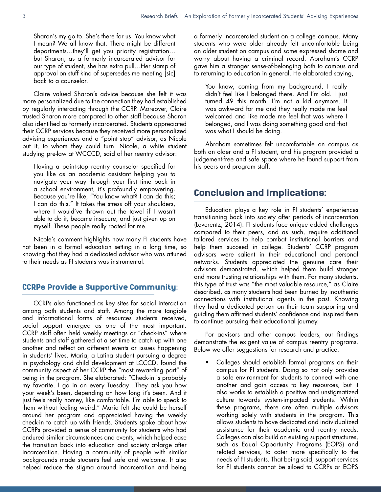Sharon's my go to. She's there for us. You know what I mean? We all know that. There might be different departments…they'll get you priority registration… but Sharon, as a formerly incarcerated advisor for our type of student, she has extra pull…Her stamp of approval on stuff kind of supersedes me meeting [sic] back to a counselor.

Claire valued Sharon's advice because she felt it was more personalized due to the connection they had established by regularly interacting through the CCRP. Moreover, Claire trusted Sharon more compared to other staff because Sharon also identified as formerly incarcerated. Students appreciated their CCRP services because they received more personalized advising experiences and a "point stop" advisor, as Nicole put it, to whom they could turn. Nicole, a white student studying pre-law at WCCCD, said of her reentry advisor:

Having a point-stop reentry counselor specified for you like as an academic assistant helping you to navigate your way through your first time back in a school environment, it's profoundly empowering. Because you're like, "You know what? I can do this; I can do this." It takes the stress off your shoulders, where I would've thrown out the towel if I wasn't able to do it, became insecure, and just given up on myself. These people really rooted for me.

Nicole's comment highlights how many FI students have not been in a formal education setting in a long time, so knowing that they had a dedicated advisor who was attuned to their needs as FI students was instrumental.

#### CCRPs Provide a Supportive Community:

CCRPs also functioned as key sites for social interaction among both students and staff. Among the more tangible and informational forms of resources students received, social support emerged as one of the most important. CCRP staff often held weekly meetings or "check-ins" where students and staff gathered at a set time to catch up with one another and reflect on different events or issues happening in students' lives. Maria, a Latina student pursuing a degree in psychology and child development at LCCCD, found the community aspect of her CCRP the "most rewarding part" of being in the program. She elaborated: "Check-in is probably my favorite. I go in on every Tuesday…They ask you how your week's been, depending on how long it's been. And it just feels really homey, like comfortable. I'm able to speak to them without feeling weird." Maria felt she could be herself around her program and appreciated having the weekly check-in to catch up with friends. Students spoke about how CCRPs provided a sense of community for students who had endured similar circumstances and events, which helped ease the transition back into education and society at-large after incarceration. Having a community of people with similar backgrounds made students feel safe and welcome. It also helped reduce the stigma around incarceration and being

a formerly incarcerated student on a college campus. Many students who were older already felt uncomfortable being an older student on campus and some expressed shame and worry about having a criminal record. Abraham's CCRP gave him a stronger sense-of-belonging both to campus and to returning to education in general. He elaborated saying,

You know, coming from my background, I really didn't feel like I belonged there. And I'm old. I just turned 49 this month. I'm not a kid anymore. It was awkward for me and they really made me feel welcomed and like made me feel that was where I belonged, and I was doing something good and that was what I should be doing.

Abraham sometimes felt uncomfortable on campus as both an older and a FI student, and his program provided a judgement-free and safe space where he found support from his peers and program staff.

#### Conclusion and Implications:

Education plays a key role in FI students' experiences transitioning back into society after periods of incarceration (Leverentz, 2014). FI students face unique added challenges compared to their peers, and as such, require additional tailored services to help combat institutional barriers and help them succeed in college. Students' CCRP program advisors were salient in their educational and personal networks. Students appreciated the genuine care their advisors demonstrated, which helped them build stronger and more trusting relationships with them. For many students, this type of trust was "the most valuable resource," as Claire described, as many students had been burned by inauthentic connections with institutional agents in the past. Knowing they had a dedicated person on their team supporting and guiding them affirmed students' confidence and inspired them to continue pursuing their educational journey.

For advisors and other campus leaders, our findings demonstrate the exigent value of campus reentry programs. Below we offer suggestions for research and practice:

• Colleges should establish formal programs on their campus for FI students. Doing so not only provides a safe environment for students to connect with one another and gain access to key resources, but it also works to establish a positive and unstigmatized culture towards system-impacted students. Within these programs, there are often multiple advisors working solely with students in the program. This allows students to have dedicated and individualized assistance for their academic and reentry needs. Colleges can also build on existing support structures, such as Equal Opportunity Programs (EOPS) and related services, to cater more specifically to the needs of FI students. That being said, support services for FI students cannot be siloed to CCRPs or EOPS